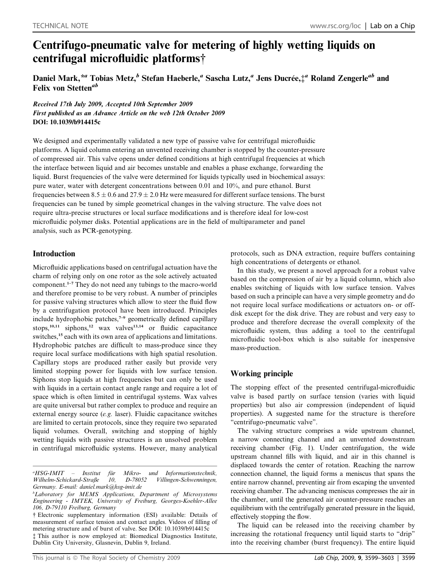# Centrifugo-pneumatic valve for metering of highly wetting liquids on centrifugal microfluidic platforms†

Daniel Mark, \*" Tobias Metz, $^b$  Stefan Haeberle," Sascha Lutz," Jens Ducrée, $\ddagger$ " Roland Zengerle" and Felix von Stetten<sup>ab</sup>

Received 17th July 2009, Accepted 10th September 2009 First published as an Advance Article on the web 12th October 2009 DOI: 10.1039/b914415c

We designed and experimentally validated a new type of passive valve for centrifugal microfluidic platforms. A liquid column entering an unvented receiving chamber is stopped by the counter-pressure of compressed air. This valve opens under defined conditions at high centrifugal frequencies at which the interface between liquid and air becomes unstable and enables a phase exchange, forwarding the liquid. Burst frequencies of the valve were determined for liquids typically used in biochemical assays: pure water, water with detergent concentrations between 0.01 and 10%, and pure ethanol. Burst frequencies between  $8.5 \pm 0.6$  and  $27.9 \pm 2.0$  Hz were measured for different surface tensions. The burst frequencies can be tuned by simple geometrical changes in the valving structure. The valve does not require ultra-precise structures or local surface modifications and is therefore ideal for low-cost microfluidic polymer disks. Potential applications are in the field of multiparameter and panel analysis, such as PCR-genotyping.

# Introduction

Microfluidic applications based on centrifugal actuation have the charm of relying only on one rotor as the sole actively actuated component.1–7 They do not need any tubings to the macro-world and therefore promise to be very robust. A number of principles for passive valving structures which allow to steer the fluid flow by a centrifugation protocol have been introduced. Principles include hydrophobic patches,<sup>7-9</sup> geometrically defined capillary stops,<sup>10,11</sup> siphons,<sup>12</sup> wax valves<sup>13,14</sup> or fluidic capacitance switches,<sup>15</sup> each with its own area of applications and limitations. Hydrophobic patches are difficult to mass-produce since they require local surface modifications with high spatial resolution. Capillary stops are produced rather easily but provide very limited stopping power for liquids with low surface tension. Siphons stop liquids at high frequencies but can only be used with liquids in a certain contact angle range and require a lot of space which is often limited in centrifugal systems. Wax valves are quite universal but rather complex to produce and require an external energy source (e.g. laser). Fluidic capacitance switches are limited to certain protocols, since they require two separated liquid volumes. Overall, switching and stopping of highly wetting liquids with passive structures is an unsolved problem in centrifugal microfluidic systems. However, many analytical

<sup>a</sup>HSG-IMIT *Institut für Mikro- und Informationstechnik,*<br>-Straβe 10, D-78052 Villingen-Schwenningen, Wilhelm-Schickard-Straße 10, D-78052 Villingen-Schwenningen, Germany. E-mail: daniel.mark@hsg-imit.de

‡ This author is now employed at: Biomedical Diagnostics Institute, Dublin City University, Glasnevin, Dublin 9, Ireland.

protocols, such as DNA extraction, require buffers containing high concentrations of detergents or ethanol.

In this study, we present a novel approach for a robust valve based on the compression of air by a liquid column, which also enables switching of liquids with low surface tension. Valves based on such a principle can have a very simple geometry and do not require local surface modifications or actuators on- or offdisk except for the disk drive. They are robust and very easy to produce and therefore decrease the overall complexity of the microfluidic system, thus adding a tool to the centrifugal microfluidic tool-box which is also suitable for inexpensive mass-production.

# Working principle

The stopping effect of the presented centrifugal-microfluidic valve is based partly on surface tension (varies with liquid properties) but also air compression (independent of liquid properties). A suggested name for the structure is therefore ''centrifugo-pneumatic valve''.

The valving structure comprises a wide upstream channel, a narrow connecting channel and an unvented downstream receiving chamber (Fig. 1). Under centrifugation, the wide upstream channel fills with liquid, and air in this channel is displaced towards the center of rotation. Reaching the narrow connection channel, the liquid forms a meniscus that spans the entire narrow channel, preventing air from escaping the unvented receiving chamber. The advancing meniscus compresses the air in the chamber, until the generated air counter-pressure reaches an equilibrium with the centrifugally generated pressure in the liquid, effectively stopping the flow.

The liquid can be released into the receiving chamber by increasing the rotational frequency until liquid starts to ''drip'' into the receiving chamber (burst frequency). The entire liquid

<sup>&</sup>lt;sup>b</sup>Laboratory for MEMS Applications, Department of Microsystems Engineering - IMTEK, University of Freiburg, Georges-Koehler-Allee 106, D-79110 Freiburg, Germany

<sup>†</sup> Electronic supplementary information (ESI) available: Details of measurement of surface tension and contact angles. Videos of filling of metering structure and of burst of valve. See DOI: 10.1039/b914415c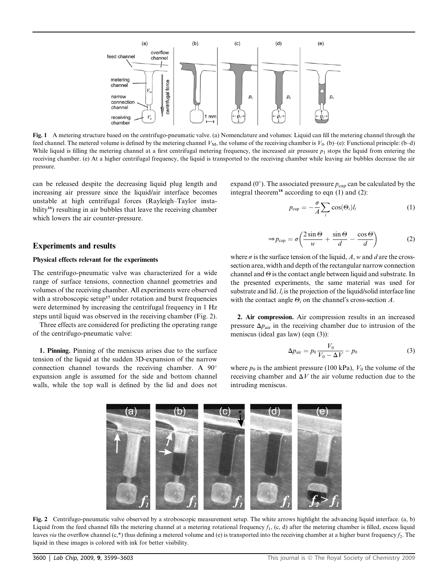

Fig. 1 A metering structure based on the centrifugo-pneumatic valve. (a) Nomenclature and volumes: Liquid can fill the metering channel through the feed channel. The metered volume is defined by the metering channel  $V_M$ , the volume of the receiving chamber is  $V_0$ . (b)–(e): Functional principle: (b–d) While liquid is filling the metering channel at a first centrifugal metering frequency, the increased air pressure  $p_1$  stops the liquid from entering the receiving chamber. (e) At a higher centrifugal frequency, the liquid is transported to the receiving chamber while leaving air bubbles decrease the air pressure.

can be released despite the decreasing liquid plug length and increasing air pressure since the liquid/air interface becomes unstable at high centrifugal forces (Rayleigh–Taylor instability<sup>16</sup>) resulting in air bubbles that leave the receiving chamber which lowers the air counter-pressure.

## Experiments and results

## Physical effects relevant for the experiments

The centrifugo-pneumatic valve was characterized for a wide range of surface tensions, connection channel geometries and volumes of the receiving chamber. All experiments were observed with a stroboscopic setup<sup>17</sup> under rotation and burst frequencies were determined by increasing the centrifugal frequency in 1 Hz steps until liquid was observed in the receiving chamber (Fig. 2).

Three effects are considered for predicting the operating range of the centrifugo-pneumatic valve:

1. Pinning. Pinning of the meniscus arises due to the surface tension of the liquid at the sudden 3D-expansion of the narrow connection channel towards the receiving chamber. A 90 expansion angle is assumed for the side and bottom channel walls, while the top wall is defined by the lid and does not

expand (0 $^{\circ}$ ). The associated pressure  $p_{\text{cap}}$  can be calculated by the integral theorem<sup>18</sup> according to eqn  $(1)$  and  $(2)$ :

$$
p_{\text{cap}} = -\frac{\sigma}{A} \sum_{i} \cos(\Theta_i) l_i \tag{1}
$$

$$
\Rightarrow p_{\text{cap}} = \sigma \left( \frac{2 \sin \Theta}{w} + \frac{\sin \Theta}{d} - \frac{\cos \Theta}{d} \right) \tag{2}
$$

where  $\sigma$  is the surface tension of the liquid, A, w and d are the crosssection area, width and depth of the rectangular narrow connection channel and  $\Theta$  is the contact angle between liquid and substrate. In the presented experiments, the same material was used for substrate and lid.  $l_i$  is the projection of the liquid/solid interface line with the contact angle  $\Theta_i$  on the channel's cross-section A.

2. Air compression. Air compression results in an increased pressure  $\Delta p_{\text{air}}$  in the receiving chamber due to intrusion of the meniscus (ideal gas law) (eqn (3)):

$$
\Delta p_{\text{air}} = p_0 \frac{V_0}{V_0 - \Delta V} - p_0 \tag{3}
$$

where  $p_0$  is the ambient pressure (100 kPa),  $V_0$  the volume of the receiving chamber and  $\Delta V$  the air volume reduction due to the intruding meniscus.



Fig. 2 Centrifugo-pneumatic valve observed by a stroboscopic measurement setup. The white arrows highlight the advancing liquid interface. (a, b) Liquid from the feed channel fills the metering channel at a metering rotational frequency  $f_1$ , (c, d) after the metering chamber is filled, excess liquid leaves via the overflow channel  $(c,*)$  thus defining a metered volume and  $(e)$  is transported into the receiving chamber at a higher burst frequency  $f_2$ . The liquid in these images is colored with ink for better visibility.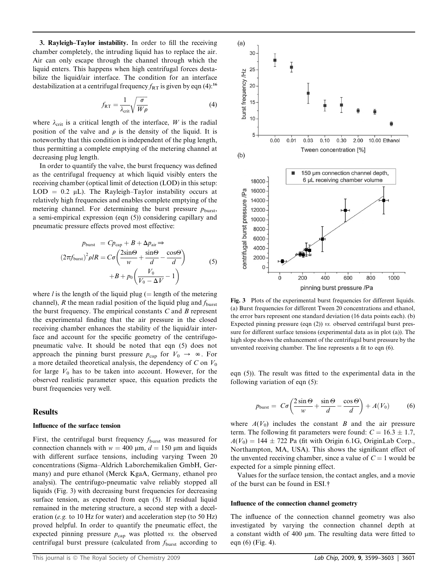3. Rayleigh–Taylor instability. In order to fill the receiving chamber completely, the intruding liquid has to replace the air. Air can only escape through the channel through which the liquid enters. This happens when high centrifugal forces destabilize the liquid/air interface. The condition for an interface destabilization at a centrifugal frequency  $f_{RT}$  is given by eqn (4):<sup>16</sup>

$$
f_{RT} = \frac{1}{\lambda_{\rm crit}} \sqrt{\frac{\sigma}{W\rho}}
$$
 (4)

where  $\lambda_{\text{crit}}$  is a critical length of the interface, W is the radial position of the valve and  $\rho$  is the density of the liquid. It is noteworthy that this condition is independent of the plug length, thus permitting a complete emptying of the metering channel at decreasing plug length.

In order to quantify the valve, the burst frequency was defined as the centrifugal frequency at which liquid visibly enters the receiving chamber (optical limit of detection (LOD) in this setup:  $LOD = 0.2 \mu L$ ). The Rayleigh–Taylor instability occurs at relatively high frequencies and enables complete emptying of the metering channel. For determining the burst pressure  $p_{\text{burst}}$ , a semi-empirical expression (eqn (5)) considering capillary and pneumatic pressure effects proved most effective:

$$
p_{\text{burst}} = Cp_{\text{cap}} + B + \Delta p_{\text{air}} \Rightarrow
$$
  

$$
(2\pi f_{\text{burst}})^2 \rho IR = C\sigma \left(\frac{2\sin\Theta}{w} + \frac{\sin\Theta}{d} - \frac{\cos\Theta}{d}\right)
$$
  

$$
+B + p_0 \left(\frac{V_0}{V_0 - \Delta V} - 1\right)
$$
 (5)

where *l* is the length of the liquid plug ( $=$  length of the metering channel), R the mean radial position of the liquid plug and  $f_{\text{burst}}$ the burst frequency. The empirical constants  $C$  and  $B$  represent the experimental finding that the air pressure in the closed receiving chamber enhances the stability of the liquid/air interface and account for the specific geometry of the centrifugopneumatic valve. It should be noted that eqn (5) does not approach the pinning burst pressure  $p_{cap}$  for  $V_0 \rightarrow \infty$ . For a more detailed theoretical analysis, the dependency of C on  $V_0$ for large  $V_0$  has to be taken into account. However, for the observed realistic parameter space, this equation predicts the burst frequencies very well.

### Results

## Influence of the surface tension

First, the centrifugal burst frequency  $f_{\text{burst}}$  was measured for connection channels with  $w = 400 \mu m$ ,  $d = 150 \mu m$  and liquids with different surface tensions, including varying Tween 20 concentrations (Sigma–Aldrich Laborchemikalien GmbH, Germany) and pure ethanol (Merck KgaA, Germany, ethanol pro analysi). The centrifugo-pneumatic valve reliably stopped all liquids (Fig. 3) with decreasing burst frequencies for decreasing surface tension, as expected from eqn  $(5)$ . If residual liquid remained in the metering structure, a second step with a deceleration (e.g. to 10 Hz for water) and acceleration step (to 50 Hz) proved helpful. In order to quantify the pneumatic effect, the expected pinning pressure  $p_{cap}$  was plotted vs. the observed centrifugal burst pressure (calculated from  $f_{\text{burst}}$  according to



Fig. 3 Plots of the experimental burst frequencies for different liquids. (a) Burst frequencies for different Tween 20 concentrations and ethanol, the error bars represent one standard deviation (16 data points each). (b) Expected pinning pressure (eqn (2)) vs. observed centrifugal burst pressure for different surface tensions (experimental data as in plot (a)). The high slope shows the enhancement of the centrifugal burst pressure by the unvented receiving chamber. The line represents a fit to eqn (6).

eqn (5)). The result was fitted to the experimental data in the following variation of eqn (5):

$$
p_{\text{burst}} = C\sigma \left( \frac{2\sin\Theta}{w} + \frac{\sin\Theta}{d} - \frac{\cos\Theta}{d} \right) + A(V_0) \tag{6}
$$

where  $A(V_0)$  includes the constant B and the air pressure term. The following fit parameters were found:  $C = 16.3 \pm 1.7$ ,  $A(V_0) = 144 \pm 722$  Pa (fit with Origin 6.1G, OriginLab Corp., Northampton, MA, USA). This shows the significant effect of the unvented receiving chamber, since a value of  $C = 1$  would be expected for a simple pinning effect.

Values for the surface tension, the contact angles, and a movie of the burst can be found in ESI.†

#### Influence of the connection channel geometry

The influence of the connection channel geometry was also investigated by varying the connection channel depth at a constant width of 400  $\mu$ m. The resulting data were fitted to eqn (6) (Fig. 4).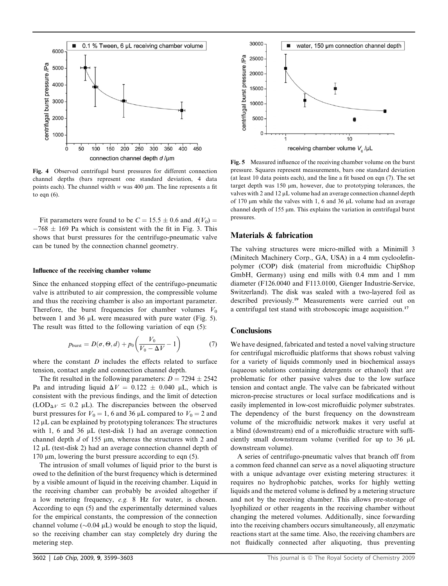

Fig. 4 Observed centrifugal burst pressures for different connection channel depths (bars represent one standard deviation, 4 data points each). The channel width  $w$  was 400  $\mu$ m. The line represents a fit to eqn (6).

Fit parameters were found to be  $C = 15.5 \pm 0.6$  and  $A(V_0) =$  $-768 \pm 169$  Pa which is consistent with the fit in Fig. 3. This shows that burst pressures for the centrifugo-pneumatic valve can be tuned by the connection channel geometry.

#### Influence of the receiving chamber volume

Since the enhanced stopping effect of the centrifugo-pneumatic valve is attributed to air compression, the compressible volume and thus the receiving chamber is also an important parameter. Therefore, the burst frequencies for chamber volumes  $V_0$ between 1 and 36  $\mu$ L were measured with pure water (Fig. 5). The result was fitted to the following variation of eqn (5):

$$
p_{\text{burst}} = D(\sigma, \Theta, d) + p_0 \left( \frac{V_0}{V_0 - \Delta V} - 1 \right) \tag{7}
$$

where the constant  $D$  includes the effects related to surface tension, contact angle and connection channel depth.

The fit resulted in the following parameters:  $D = 7294 \pm 2542$ Pa and intruding liquid  $\Delta V = 0.122 \pm 0.040$  µL, which is consistent with the previous findings, and the limit of detection  $(LOD_{\Delta V} \leq 0.2 \mu L)$ . The discrepancies between the observed burst pressures for  $V_0 = 1$ , 6 and 36 µL compared to  $V_0 = 2$  and  $12 \mu$ L can be explained by prototyping tolerances: The structures with 1, 6 and 36  $\mu$ L (test-disk 1) had an average connection channel depth  $d$  of 155  $\mu$ m, whereas the structures with 2 and  $12 \mu L$  (test-disk 2) had an average connection channel depth of 170  $\mu$ m, lowering the burst pressure according to eqn (5).

The intrusion of small volumes of liquid prior to the burst is owed to the definition of the burst frequency which is determined by a visible amount of liquid in the receiving chamber. Liquid in the receiving chamber can probably be avoided altogether if a low metering frequency, e.g. 8 Hz for water, is chosen. According to eqn (5) and the experimentally determined values for the empirical constants, the compression of the connection channel volume ( $\sim$ 0.04 µL) would be enough to stop the liquid, so the receiving chamber can stay completely dry during the metering step.



Fig. 5 Measured influence of the receiving chamber volume on the burst pressure. Squares represent measurements, bars one standard deviation (at least 10 data points each), and the line a fit based on eqn (7). The set target depth was  $150 \mu m$ , however, due to prototyping tolerances, the valves with 2 and 12  $\mu$ L volume had an average connection channel depth of 170  $\mu$ m while the valves with 1, 6 and 36  $\mu$ L volume had an average channel depth of 155  $\mu$ m. This explains the variation in centrifugal burst pressures.

# Materials & fabrication

The valving structures were micro-milled with a Minimill 3 (Minitech Machinery Corp., GA, USA) in a 4 mm cycloolefinpolymer (COP) disk (material from microfluidic ChipShop GmbH, Germany) using end mills with 0.4 mm and 1 mm diameter (F126.0040 and F113.0100, Gienger Industrie-Service, Switzerland). The disk was sealed with a two-layered foil as described previously.<sup>19</sup> Measurements were carried out on a centrifugal test stand with stroboscopic image acquisition.<sup>17</sup>

# **Conclusions**

We have designed, fabricated and tested a novel valving structure for centrifugal microfluidic platforms that shows robust valving for a variety of liquids commonly used in biochemical assays (aqueous solutions containing detergents or ethanol) that are problematic for other passive valves due to the low surface tension and contact angle. The valve can be fabricated without micron-precise structures or local surface modifications and is easily implemented in low-cost microfluidic polymer substrates. The dependency of the burst frequency on the downstream volume of the microfluidic network makes it very useful at a blind (downstream) end of a microfluidic structure with sufficiently small downstream volume (verified for up to 36 mL downstream volume).

A series of centrifugo-pneumatic valves that branch off from a common feed channel can serve as a novel aliquoting structure with a unique advantage over existing metering structures: it requires no hydrophobic patches, works for highly wetting liquids and the metered volume is defined by a metering structure and not by the receiving chamber. This allows pre-storage of lyophilized or other reagents in the receiving chamber without changing the metered volumes. Additionally, since forwarding into the receiving chambers occurs simultaneously, all enzymatic reactions start at the same time. Also, the receiving chambers are not fluidically connected after aliquoting, thus preventing